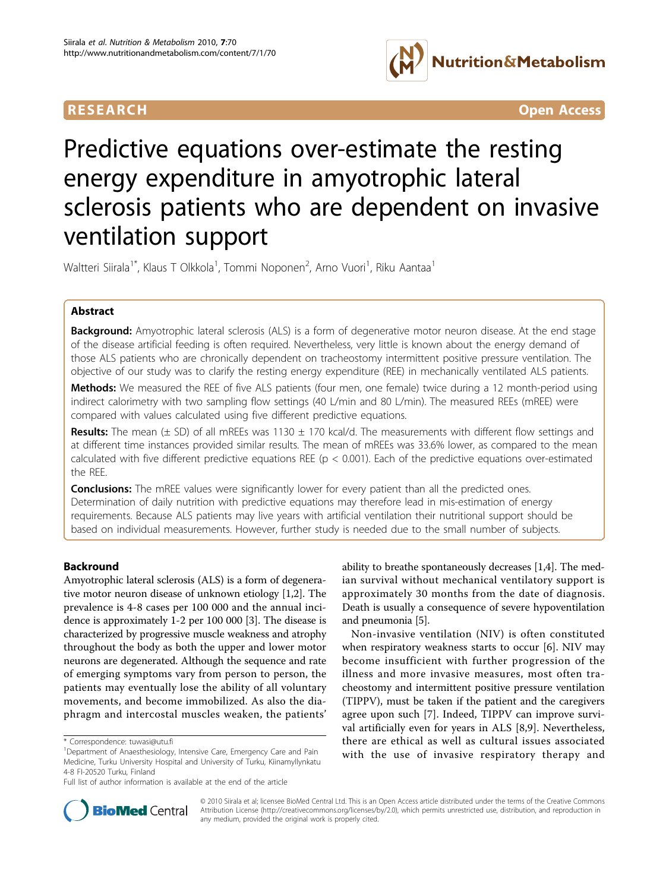

**RESEARCH CONTROL** CONTROL CONTROL CONTROL CONTROL CONTROL CONTROL CONTROL CONTROL CONTROL CONTROL CONTROL CONTROL CONTROL CONTROL CONTROL CONTROL CONTROL CONTROL CONTROL CONTROL CONTROL CONTROL CONTROL CONTROL CONTROL CON

# Predictive equations over-estimate the resting energy expenditure in amyotrophic lateral sclerosis patients who are dependent on invasive ventilation support

Waltteri Siirala<sup>1\*</sup>, Klaus T Olkkola<sup>1</sup>, Tommi Noponen<sup>2</sup>, Arno Vuori<sup>1</sup>, Riku Aantaa<sup>1</sup>

# Abstract

**Background:** Amyotrophic lateral sclerosis (ALS) is a form of degenerative motor neuron disease. At the end stage of the disease artificial feeding is often required. Nevertheless, very little is known about the energy demand of those ALS patients who are chronically dependent on tracheostomy intermittent positive pressure ventilation. The objective of our study was to clarify the resting energy expenditure (REE) in mechanically ventilated ALS patients.

Methods: We measured the REE of five ALS patients (four men, one female) twice during a 12 month-period using indirect calorimetry with two sampling flow settings (40 L/min and 80 L/min). The measured REEs (mREE) were compared with values calculated using five different predictive equations.

Results: The mean  $(\pm$  SD) of all mREEs was 1130  $\pm$  170 kcal/d. The measurements with different flow settings and at different time instances provided similar results. The mean of mREEs was 33.6% lower, as compared to the mean calculated with five different predictive equations REE ( $p < 0.001$ ). Each of the predictive equations over-estimated the REE.

**Conclusions:** The mREE values were significantly lower for every patient than all the predicted ones. Determination of daily nutrition with predictive equations may therefore lead in mis-estimation of energy requirements. Because ALS patients may live years with artificial ventilation their nutritional support should be based on individual measurements. However, further study is needed due to the small number of subjects.

# Backround

Amyotrophic lateral sclerosis (ALS) is a form of degenerative motor neuron disease of unknown etiology [\[1,2](#page-5-0)]. The prevalence is 4-8 cases per 100 000 and the annual incidence is approximately 1-2 per 100 000 [[3\]](#page-5-0). The disease is characterized by progressive muscle weakness and atrophy throughout the body as both the upper and lower motor neurons are degenerated. Although the sequence and rate of emerging symptoms vary from person to person, the patients may eventually lose the ability of all voluntary movements, and become immobilized. As also the diaphragm and intercostal muscles weaken, the patients'

ability to breathe spontaneously decreases [[1,4\]](#page-5-0). The median survival without mechanical ventilatory support is approximately 30 months from the date of diagnosis. Death is usually a consequence of severe hypoventilation and pneumonia [[5\]](#page-5-0).

Non-invasive ventilation (NIV) is often constituted when respiratory weakness starts to occur [[6\]](#page-5-0). NIV may become insufficient with further progression of the illness and more invasive measures, most often tracheostomy and intermittent positive pressure ventilation (TIPPV), must be taken if the patient and the caregivers agree upon such [\[7](#page-5-0)]. Indeed, TIPPV can improve survival artificially even for years in ALS [[8](#page-5-0),[9\]](#page-5-0). Nevertheless, there are ethical as well as cultural issues associated with the use of invasive respiratory therapy and



© 2010 Siirala et al; licensee BioMed Central Ltd. This is an Open Access article distributed under the terms of the Creative Commons Attribution License [\(http://creativecommons.org/licenses/by/2.0](http://creativecommons.org/licenses/by/2.0)), which permits unrestricted use, distribution, and reproduction in any medium, provided the original work is properly cited.

<sup>\*</sup> Correspondence: [tuwasi@utu.fi](mailto:tuwasi@utu.fi)

<sup>&</sup>lt;sup>1</sup>Department of Anaesthesiology, Intensive Care, Emergency Care and Pain Medicine, Turku University Hospital and University of Turku, Kiinamyllynkatu 4-8 FI-20520 Turku, Finland

Full list of author information is available at the end of the article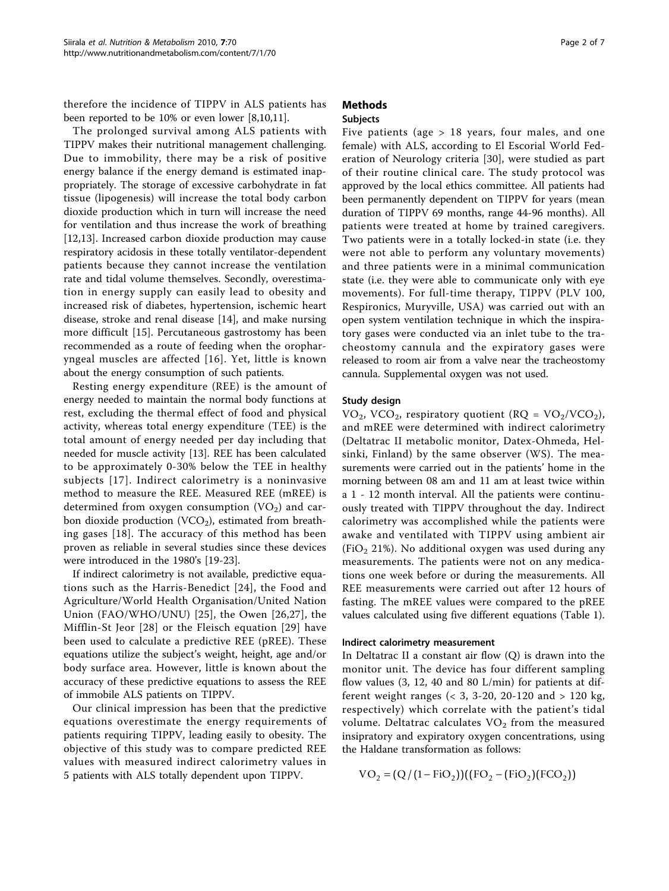therefore the incidence of TIPPV in ALS patients has been reported to be 10% or even lower [[8,10,11\]](#page-5-0).

The prolonged survival among ALS patients with TIPPV makes their nutritional management challenging. Due to immobility, there may be a risk of positive energy balance if the energy demand is estimated inappropriately. The storage of excessive carbohydrate in fat tissue (lipogenesis) will increase the total body carbon dioxide production which in turn will increase the need for ventilation and thus increase the work of breathing [[12,13\]](#page-5-0). Increased carbon dioxide production may cause respiratory acidosis in these totally ventilator-dependent patients because they cannot increase the ventilation rate and tidal volume themselves. Secondly, overestimation in energy supply can easily lead to obesity and increased risk of diabetes, hypertension, ischemic heart disease, stroke and renal disease [\[14](#page-5-0)], and make nursing more difficult [[15](#page-5-0)]. Percutaneous gastrostomy has been recommended as a route of feeding when the oropharyngeal muscles are affected [[16](#page-5-0)]. Yet, little is known about the energy consumption of such patients.

Resting energy expenditure (REE) is the amount of energy needed to maintain the normal body functions at rest, excluding the thermal effect of food and physical activity, whereas total energy expenditure (TEE) is the total amount of energy needed per day including that needed for muscle activity [[13](#page-5-0)]. REE has been calculated to be approximately 0-30% below the TEE in healthy subjects [[17](#page-5-0)]. Indirect calorimetry is a noninvasive method to measure the REE. Measured REE (mREE) is determined from oxygen consumption  $(VO<sub>2</sub>)$  and carbon dioxide production (VCO<sub>2</sub>), estimated from breathing gases [[18](#page-5-0)]. The accuracy of this method has been proven as reliable in several studies since these devices were introduced in the 1980's [[19](#page-5-0)-[23\]](#page-5-0).

If indirect calorimetry is not available, predictive equations such as the Harris-Benedict [[24](#page-5-0)], the Food and Agriculture/World Health Organisation/United Nation Union (FAO/WHO/UNU) [[25\]](#page-5-0), the Owen [[26](#page-5-0),[27\]](#page-5-0), the Mifflin-St Jeor [\[28\]](#page-5-0) or the Fleisch equation [[29](#page-5-0)] have been used to calculate a predictive REE (pREE). These equations utilize the subject's weight, height, age and/or body surface area. However, little is known about the accuracy of these predictive equations to assess the REE of immobile ALS patients on TIPPV.

Our clinical impression has been that the predictive equations overestimate the energy requirements of patients requiring TIPPV, leading easily to obesity. The objective of this study was to compare predicted REE values with measured indirect calorimetry values in 5 patients with ALS totally dependent upon TIPPV.

## Methods **Subjects**

Five patients (age > 18 years, four males, and one female) with ALS, according to El Escorial World Federation of Neurology criteria [\[30\]](#page-6-0), were studied as part of their routine clinical care. The study protocol was approved by the local ethics committee. All patients had been permanently dependent on TIPPV for years (mean duration of TIPPV 69 months, range 44-96 months). All patients were treated at home by trained caregivers. Two patients were in a totally locked-in state (i.e. they were not able to perform any voluntary movements) and three patients were in a minimal communication state (i.e. they were able to communicate only with eye movements). For full-time therapy, TIPPV (PLV 100, Respironics, Muryville, USA) was carried out with an open system ventilation technique in which the inspiratory gases were conducted via an inlet tube to the tracheostomy cannula and the expiratory gases were released to room air from a valve near the tracheostomy cannula. Supplemental oxygen was not used.

## Study design

VO<sub>2</sub>, VCO<sub>2</sub>, respiratory quotient (RQ = VO<sub>2</sub>/VCO<sub>2</sub>), and mREE were determined with indirect calorimetry (Deltatrac II metabolic monitor, Datex-Ohmeda, Helsinki, Finland) by the same observer (WS). The measurements were carried out in the patients' home in the morning between 08 am and 11 am at least twice within a 1 - 12 month interval. All the patients were continuously treated with TIPPV throughout the day. Indirect calorimetry was accomplished while the patients were awake and ventilated with TIPPV using ambient air (FiO<sub>2</sub> 21%). No additional oxygen was used during any measurements. The patients were not on any medications one week before or during the measurements. All REE measurements were carried out after 12 hours of fasting. The mREE values were compared to the pREE values calculated using five different equations (Table [1](#page-2-0)).

#### Indirect calorimetry measurement

In Deltatrac II a constant air flow (Q) is drawn into the monitor unit. The device has four different sampling flow values (3, 12, 40 and 80 L/min) for patients at different weight ranges (< 3, 3-20, 20-120 and > 120 kg, respectively) which correlate with the patient's tidal volume. Deltatrac calculates  $VO<sub>2</sub>$  from the measured insipratory and expiratory oxygen concentrations, using the Haldane transformation as follows:

$$
VO_2 = (Q/(1 - FiO_2))((FO_2 - (FiO_2)(FCO_2))
$$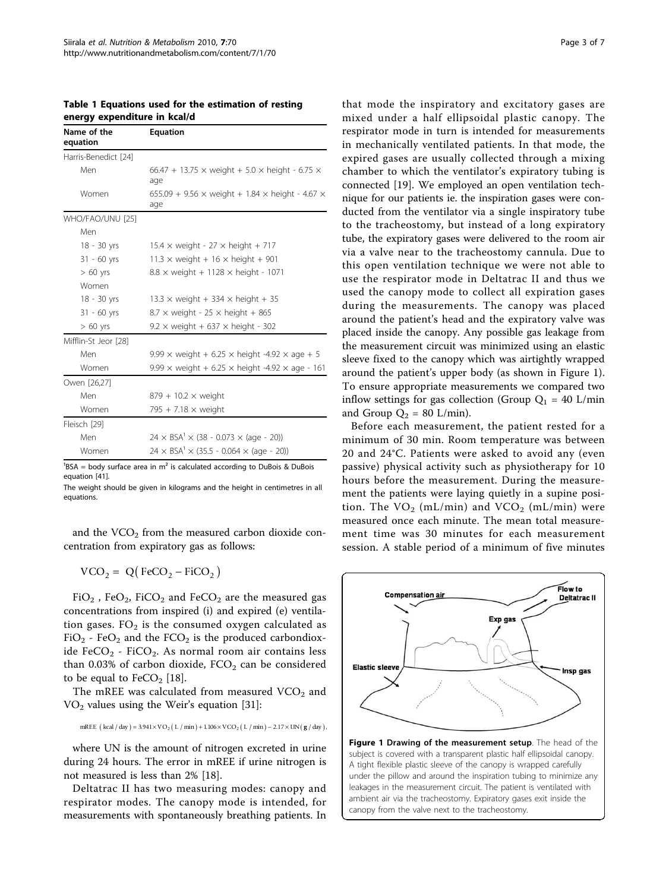| Name of the<br>equation | <b>Equation</b>                                                             |
|-------------------------|-----------------------------------------------------------------------------|
| Harris-Benedict [24]    |                                                                             |
| Men                     | 66.47 + 13.75 $\times$ weight + 5.0 $\times$ height - 6.75 $\times$<br>age  |
| Women                   | 655.09 + 9.56 $\times$ weight + 1.84 $\times$ height - 4.67 $\times$<br>age |
| WHO/FAO/UNU [25]        |                                                                             |
| Men                     |                                                                             |
| $18 - 30$ yrs           | $15.4 \times$ weight - 27 $\times$ height + 717                             |
| $31 - 60$ yrs           | $11.3 \times$ weight + 16 $\times$ height + 901                             |
| $> 60$ yrs              | $8.8 \times$ weight + 1128 $\times$ height - 1071                           |
| Women                   |                                                                             |
| 18 - 30 yrs             | $13.3 \times$ weight + 334 $\times$ height + 35                             |
| $31 - 60$ yrs           | $8.7 \times$ weight - 25 $\times$ height + 865                              |
| $> 60$ yrs              | $9.2 \times$ weight + 637 $\times$ height - 302                             |
| Mifflin-St Jeor [28]    |                                                                             |
| Men                     | 9.99 $\times$ weight + 6.25 $\times$ height -4.92 $\times$ age + 5          |
| Women                   | 9.99 $\times$ weight + 6.25 $\times$ height -4.92 $\times$ age - 161        |
| Owen [26,27]            |                                                                             |
| Men                     | $879 + 10.2 \times$ weight                                                  |
| Women                   | 795 + 7.18 $\times$ weight                                                  |
| Fleisch [29]            |                                                                             |
| Men                     | $24 \times BSA^{1} \times (38 - 0.073 \times (age - 20))$                   |
| Women                   | $24 \times BSA^{1} \times (35.5 - 0.064 \times (age - 20))$                 |

<span id="page-2-0"></span>Table 1 Equations used for the estimation of resting energy expenditure in kcal/d

 ${}^{1}$ BSA = body surface area in m<sup>2</sup> is calculated according to DuBois & DuBois equation [\[41](#page-6-0)].

The weight should be given in kilograms and the height in centimetres in all equations.

and the  $VCO<sub>2</sub>$  from the measured carbon dioxide concentration from expiratory gas as follows:

$$
VCO_2 = Q(FeCO_2 - FiCO_2)
$$

 $FiO<sub>2</sub>$ , FeO<sub>2</sub>, FiCO<sub>2</sub> and FeCO<sub>2</sub> are the measured gas concentrations from inspired (i) and expired (e) ventilation gases.  $FO<sub>2</sub>$  is the consumed oxygen calculated as  $FiO_2$  - Fe $O_2$  and the FCO<sub>2</sub> is the produced carbondioxide FeCO<sub>2</sub> - FiCO<sub>2</sub>. As normal room air contains less than 0.03% of carbon dioxide,  $FCO<sub>2</sub>$  can be considered to be equal to  $FeCO<sub>2</sub>$  [\[18\]](#page-5-0).

The mREE was calculated from measured  $VCO<sub>2</sub>$  and  $VO<sub>2</sub>$  values using the Weir's equation [\[31\]](#page-6-0):

mREE 
$$
(kcal / day) = 3.941 \times VO_2 (L / min) + 1.106 \times VCO_2 (L / min) - 2.17 \times UN(g / day),
$$

where UN is the amount of nitrogen excreted in urine during 24 hours. The error in mREE if urine nitrogen is not measured is less than 2% [[18\]](#page-5-0).

Deltatrac II has two measuring modes: canopy and respirator modes. The canopy mode is intended, for measurements with spontaneously breathing patients. In

that mode the inspiratory and excitatory gases are mixed under a half ellipsoidal plastic canopy. The respirator mode in turn is intended for measurements in mechanically ventilated patients. In that mode, the expired gases are usually collected through a mixing chamber to which the ventilator's expiratory tubing is connected [[19\]](#page-5-0). We employed an open ventilation technique for our patients ie. the inspiration gases were conducted from the ventilator via a single inspiratory tube to the tracheostomy, but instead of a long expiratory tube, the expiratory gases were delivered to the room air via a valve near to the tracheostomy cannula. Due to this open ventilation technique we were not able to use the respirator mode in Deltatrac II and thus we used the canopy mode to collect all expiration gases during the measurements. The canopy was placed around the patient's head and the expiratory valve was placed inside the canopy. Any possible gas leakage from the measurement circuit was minimized using an elastic sleeve fixed to the canopy which was airtightly wrapped around the patient's upper body (as shown in Figure 1). To ensure appropriate measurements we compared two inflow settings for gas collection (Group  $Q_1 = 40$  L/min and Group  $Q_2 = 80$  L/min).

Before each measurement, the patient rested for a minimum of 30 min. Room temperature was between 20 and 24°C. Patients were asked to avoid any (even passive) physical activity such as physiotherapy for 10 hours before the measurement. During the measurement the patients were laying quietly in a supine position. The  $VO_2$  (mL/min) and  $VCO_2$  (mL/min) were measured once each minute. The mean total measurement time was 30 minutes for each measurement session. A stable period of a minimum of five minutes



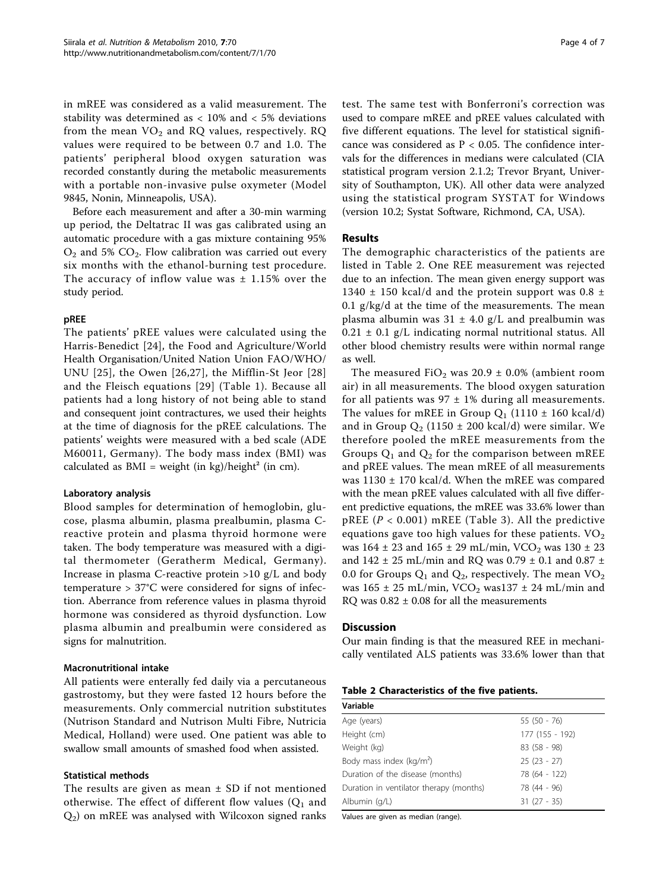in mREE was considered as a valid measurement. The stability was determined as  $< 10\%$  and  $< 5\%$  deviations from the mean  $VO<sub>2</sub>$  and RQ values, respectively. RQ values were required to be between 0.7 and 1.0. The patients' peripheral blood oxygen saturation was recorded constantly during the metabolic measurements with a portable non-invasive pulse oxymeter (Model 9845, Nonin, Minneapolis, USA).

Before each measurement and after a 30-min warming up period, the Deltatrac II was gas calibrated using an automatic procedure with a gas mixture containing 95%  $O_2$  and 5%  $CO_2$ . Flow calibration was carried out every six months with the ethanol-burning test procedure. The accuracy of inflow value was  $\pm$  1.15% over the study period.

## pREE

The patients' pREE values were calculated using the Harris-Benedict [[24](#page-5-0)], the Food and Agriculture/World Health Organisation/United Nation Union FAO/WHO/ UNU [\[25\]](#page-5-0), the Owen [[26,27](#page-5-0)], the Mifflin-St Jeor [[28](#page-5-0)] and the Fleisch equations [[29\]](#page-5-0) (Table [1](#page-2-0)). Because all patients had a long history of not being able to stand and consequent joint contractures, we used their heights at the time of diagnosis for the pREE calculations. The patients' weights were measured with a bed scale (ADE M60011, Germany). The body mass index (BMI) was calculated as  $BMI = weight (in kg)/height<sup>2</sup> (in cm)$ .

# Laboratory analysis

Blood samples for determination of hemoglobin, glucose, plasma albumin, plasma prealbumin, plasma Creactive protein and plasma thyroid hormone were taken. The body temperature was measured with a digital thermometer (Geratherm Medical, Germany). Increase in plasma C-reactive protein  $>10$  g/L and body temperature > 37°C were considered for signs of infection. Aberrance from reference values in plasma thyroid hormone was considered as thyroid dysfunction. Low plasma albumin and prealbumin were considered as signs for malnutrition.

# Macronutritional intake

All patients were enterally fed daily via a percutaneous gastrostomy, but they were fasted 12 hours before the measurements. Only commercial nutrition substitutes (Nutrison Standard and Nutrison Multi Fibre, Nutricia Medical, Holland) were used. One patient was able to swallow small amounts of smashed food when assisted.

#### Statistical methods

The results are given as mean  $\pm$  SD if not mentioned otherwise. The effect of different flow values  $(Q_1$  and  $Q<sub>2</sub>$ ) on mREE was analysed with Wilcoxon signed ranks

test. The same test with Bonferroni's correction was used to compare mREE and pREE values calculated with five different equations. The level for statistical significance was considered as  $P < 0.05$ . The confidence intervals for the differences in medians were calculated (CIA statistical program version 2.1.2; Trevor Bryant, University of Southampton, UK). All other data were analyzed using the statistical program SYSTAT for Windows (version 10.2; Systat Software, Richmond, CA, USA).

# Results

The demographic characteristics of the patients are listed in Table 2. One REE measurement was rejected due to an infection. The mean given energy support was 1340  $\pm$  150 kcal/d and the protein support was 0.8  $\pm$ 0.1  $g/kg/d$  at the time of the measurements. The mean plasma albumin was  $31 \pm 4.0$  g/L and prealbumin was  $0.21 \pm 0.1$  g/L indicating normal nutritional status. All other blood chemistry results were within normal range as well.

The measured FiO<sub>2</sub> was 20.9  $\pm$  0.0% (ambient room air) in all measurements. The blood oxygen saturation for all patients was  $97 \pm 1\%$  during all measurements. The values for mREE in Group  $Q_1$  (1110  $\pm$  160 kcal/d) and in Group  $Q_2$  (1150  $\pm$  200 kcal/d) were similar. We therefore pooled the mREE measurements from the Groups  $Q_1$  and  $Q_2$  for the comparison between mREE and pREE values. The mean mREE of all measurements was 1130 ± 170 kcal/d. When the mREE was compared with the mean pREE values calculated with all five different predictive equations, the mREE was 33.6% lower than pREE ( $P < 0.001$ ) mREE (Table [3\)](#page-4-0). All the predictive equations gave too high values for these patients.  $VO<sub>2</sub>$ was  $164 \pm 23$  and  $165 \pm 29$  mL/min, VCO<sub>2</sub> was  $130 \pm 23$ and 142  $\pm$  25 mL/min and RQ was 0.79  $\pm$  0.1 and 0.87  $\pm$ 0.0 for Groups  $Q_1$  and  $Q_2$ , respectively. The mean  $VO_2$ was  $165 \pm 25$  mL/min, VCO<sub>2</sub> was $137 \pm 24$  mL/min and RQ was  $0.82 \pm 0.08$  for all the measurements

#### Discussion

Our main finding is that the measured REE in mechanically ventilated ALS patients was 33.6% lower than that

#### Table 2 Characteristics of the five patients.

| Variable                                |                 |  |  |  |
|-----------------------------------------|-----------------|--|--|--|
| Age (years)                             | $55(50 - 76)$   |  |  |  |
| Height (cm)                             | 177 (155 - 192) |  |  |  |
| Weight (kg)                             | 83 (58 - 98)    |  |  |  |
| Body mass index (kg/m <sup>2</sup> )    | $25(23 - 27)$   |  |  |  |
| Duration of the disease (months)        | 78 (64 - 122)   |  |  |  |
| Duration in ventilator therapy (months) | 78 (44 - 96)    |  |  |  |
| Albumin (g/L)                           | $31(27 - 35)$   |  |  |  |

Values are given as median (range).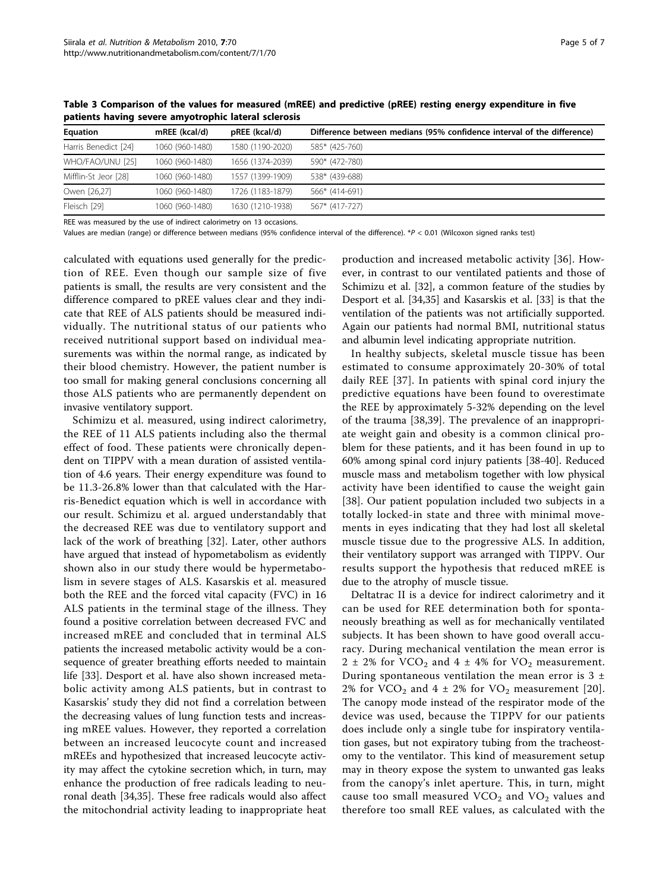| mREE (kcal/d)   | pREE (kcal/d)    | Difference between medians (95% confidence interval of the difference) |
|-----------------|------------------|------------------------------------------------------------------------|
| 1060 (960-1480) | 1580 (1190-2020) | 585* (425-760)                                                         |
| 1060 (960-1480) | 1656 (1374-2039) | 590* (472-780)                                                         |
| 1060 (960-1480) | 1557 (1399-1909) | 538* (439-688)                                                         |
| 1060 (960-1480) | 1726 (1183-1879) | 566* (414-691)                                                         |
| 1060 (960-1480) | 1630 (1210-1938) | 567* (417-727)                                                         |
|                 |                  |                                                                        |

<span id="page-4-0"></span>Table 3 Comparison of the values for measured (mREE) and predictive (pREE) resting energy expenditure in five patients having severe amyotrophic lateral sclerosis

REE was measured by the use of indirect calorimetry on 13 occasions.

Values are median (range) or difference between medians (95% confidence interval of the difference). \*P < 0.01 (Wilcoxon signed ranks test)

calculated with equations used generally for the prediction of REE. Even though our sample size of five patients is small, the results are very consistent and the difference compared to pREE values clear and they indicate that REE of ALS patients should be measured individually. The nutritional status of our patients who received nutritional support based on individual measurements was within the normal range, as indicated by their blood chemistry. However, the patient number is too small for making general conclusions concerning all those ALS patients who are permanently dependent on invasive ventilatory support.

Schimizu et al. measured, using indirect calorimetry, the REE of 11 ALS patients including also the thermal effect of food. These patients were chronically dependent on TIPPV with a mean duration of assisted ventilation of 4.6 years. Their energy expenditure was found to be 11.3-26.8% lower than that calculated with the Harris-Benedict equation which is well in accordance with our result. Schimizu et al. argued understandably that the decreased REE was due to ventilatory support and lack of the work of breathing [\[32](#page-6-0)]. Later, other authors have argued that instead of hypometabolism as evidently shown also in our study there would be hypermetabolism in severe stages of ALS. Kasarskis et al. measured both the REE and the forced vital capacity (FVC) in 16 ALS patients in the terminal stage of the illness. They found a positive correlation between decreased FVC and increased mREE and concluded that in terminal ALS patients the increased metabolic activity would be a consequence of greater breathing efforts needed to maintain life [[33\]](#page-6-0). Desport et al. have also shown increased metabolic activity among ALS patients, but in contrast to Kasarskis' study they did not find a correlation between the decreasing values of lung function tests and increasing mREE values. However, they reported a correlation between an increased leucocyte count and increased mREEs and hypothesized that increased leucocyte activity may affect the cytokine secretion which, in turn, may enhance the production of free radicals leading to neuronal death [\[34,35\]](#page-6-0). These free radicals would also affect the mitochondrial activity leading to inappropriate heat

production and increased metabolic activity [\[36](#page-6-0)]. However, in contrast to our ventilated patients and those of Schimizu et al. [\[32](#page-6-0)], a common feature of the studies by Desport et al. [[34,35\]](#page-6-0) and Kasarskis et al. [[33](#page-6-0)] is that the ventilation of the patients was not artificially supported. Again our patients had normal BMI, nutritional status and albumin level indicating appropriate nutrition.

In healthy subjects, skeletal muscle tissue has been estimated to consume approximately 20-30% of total daily REE [[37](#page-6-0)]. In patients with spinal cord injury the predictive equations have been found to overestimate the REE by approximately 5-32% depending on the level of the trauma [[38,39\]](#page-6-0). The prevalence of an inappropriate weight gain and obesity is a common clinical problem for these patients, and it has been found in up to 60% among spinal cord injury patients [\[38](#page-6-0)-[40\]](#page-6-0). Reduced muscle mass and metabolism together with low physical activity have been identified to cause the weight gain [[38\]](#page-6-0). Our patient population included two subjects in a totally locked-in state and three with minimal movements in eyes indicating that they had lost all skeletal muscle tissue due to the progressive ALS. In addition, their ventilatory support was arranged with TIPPV. Our results support the hypothesis that reduced mREE is due to the atrophy of muscle tissue.

Deltatrac II is a device for indirect calorimetry and it can be used for REE determination both for spontaneously breathing as well as for mechanically ventilated subjects. It has been shown to have good overall accuracy. During mechanical ventilation the mean error is  $2 \pm 2\%$  for VCO<sub>2</sub> and  $4 \pm 4\%$  for VO<sub>2</sub> measurement. During spontaneous ventilation the mean error is  $3 \pm$ 2% for VCO<sub>2</sub> and 4  $\pm$  2% for VO<sub>2</sub> measurement [[20](#page-5-0)]. The canopy mode instead of the respirator mode of the device was used, because the TIPPV for our patients does include only a single tube for inspiratory ventilation gases, but not expiratory tubing from the tracheostomy to the ventilator. This kind of measurement setup may in theory expose the system to unwanted gas leaks from the canopy's inlet aperture. This, in turn, might cause too small measured  $VCO<sub>2</sub>$  and  $VO<sub>2</sub>$  values and therefore too small REE values, as calculated with the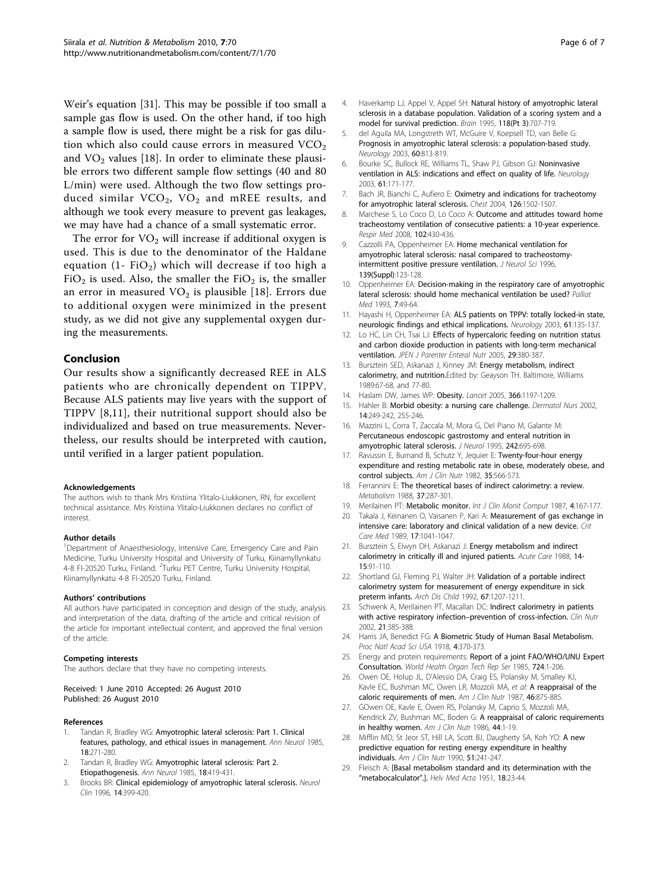<span id="page-5-0"></span>Weir's equation [[31\]](#page-6-0). This may be possible if too small a sample gas flow is used. On the other hand, if too high a sample flow is used, there might be a risk for gas dilution which also could cause errors in measured  $VCO<sub>2</sub>$ and  $VO<sub>2</sub>$  values [18]. In order to eliminate these plausible errors two different sample flow settings (40 and 80 L/min) were used. Although the two flow settings produced similar  $VCO<sub>2</sub>$ ,  $VO<sub>2</sub>$  and mREE results, and although we took every measure to prevent gas leakages, we may have had a chance of a small systematic error.

The error for  $VO<sub>2</sub>$  will increase if additional oxygen is used. This is due to the denominator of the Haldane equation (1- FiO<sub>2</sub>) which will decrease if too high a FiO<sub>2</sub> is used. Also, the smaller the FiO<sub>2</sub> is, the smaller an error in measured  $VO<sub>2</sub>$  is plausible [18]. Errors due to additional oxygen were minimized in the present study, as we did not give any supplemental oxygen during the measurements.

## Conclusion

Our results show a significantly decreased REE in ALS patients who are chronically dependent on TIPPV. Because ALS patients may live years with the support of TIPPV [8,11], their nutritional support should also be individualized and based on true measurements. Nevertheless, our results should be interpreted with caution, until verified in a larger patient population.

#### Acknowledgements

The authors wish to thank Mrs Kristiina Ylitalo-Liukkonen, RN, for excellent technical assistance. Mrs Kristiina Ylitalo-Liukkonen declares no conflict of interest.

#### Author details

<sup>1</sup>Department of Anaesthesiology, Intensive Care, Emergency Care and Pain Medicine, Turku University Hospital and University of Turku, Kiinamyllynkatu 4-8 FI-20520 Turku, Finland. <sup>2</sup>Turku PET Centre, Turku University Hospital, Kiinamyllynkatu 4-8 FI-20520 Turku, Finland.

#### Authors' contributions

All authors have participated in conception and design of the study, analysis and interpretation of the data, drafting of the article and critical revision of the article for important intellectual content, and approved the final version of the article.

#### Competing interests

The authors declare that they have no competing interests.

Received: 1 June 2010 Accepted: 26 August 2010 Published: 26 August 2010

#### References

- Tandan R, Bradley WG: [Amyotrophic lateral sclerosis: Part 1. Clinical](http://www.ncbi.nlm.nih.gov/pubmed/4051456?dopt=Abstract) [features, pathology, and ethical issues in management.](http://www.ncbi.nlm.nih.gov/pubmed/4051456?dopt=Abstract) Ann Neurol 1985, 18:271-280.
- 2. Tandan R, Bradley WG: [Amyotrophic lateral sclerosis: Part 2.](http://www.ncbi.nlm.nih.gov/pubmed/2416263?dopt=Abstract) [Etiopathogenesis.](http://www.ncbi.nlm.nih.gov/pubmed/2416263?dopt=Abstract) Ann Neurol 1985, 18:419-431.
- Brooks BR: [Clinical epidemiology of amyotrophic lateral sclerosis.](http://www.ncbi.nlm.nih.gov/pubmed/8827179?dopt=Abstract) Neurol Clin 1996, 14:399-420.
- 4. Haverkamp LJ, Appel V, Appel SH: [Natural history of amyotrophic lateral](http://www.ncbi.nlm.nih.gov/pubmed/7600088?dopt=Abstract) [sclerosis in a database population. Validation of a scoring system and a](http://www.ncbi.nlm.nih.gov/pubmed/7600088?dopt=Abstract) [model for survival prediction.](http://www.ncbi.nlm.nih.gov/pubmed/7600088?dopt=Abstract) Brain 1995, 118(Pt 3):707-719.
- 5. del Aguila MA, Longstreth WT, McGuire V, Koepsell TD, van Belle G: [Prognosis in amyotrophic lateral sclerosis: a population-based study.](http://www.ncbi.nlm.nih.gov/pubmed/12629239?dopt=Abstract) Neurology 2003, 60:813-819.
- 6. Bourke SC, Bullock RE, Williams TL, Shaw PJ, Gibson GJ: [Noninvasive](http://www.ncbi.nlm.nih.gov/pubmed/12874394?dopt=Abstract) [ventilation in ALS: indications and effect on quality of life.](http://www.ncbi.nlm.nih.gov/pubmed/12874394?dopt=Abstract) Neurology 2003, 61:171-177.
- 7. Bach JR, Bianchi C, Aufiero E: [Oximetry and indications for tracheotomy](http://www.ncbi.nlm.nih.gov/pubmed/15539719?dopt=Abstract) [for amyotrophic lateral sclerosis.](http://www.ncbi.nlm.nih.gov/pubmed/15539719?dopt=Abstract) Chest 2004, 126:1502-1507.
- 8. Marchese S, Lo Coco D, Lo Coco A: **[Outcome and attitudes toward home](http://www.ncbi.nlm.nih.gov/pubmed/18023334?dopt=Abstract)** [tracheostomy ventilation of consecutive patients: a 10-year experience.](http://www.ncbi.nlm.nih.gov/pubmed/18023334?dopt=Abstract) Respir Med 2008, 102:430-436.
- 9. Cazzolli PA, Oppenheimer EA: [Home mechanical ventilation for](http://www.ncbi.nlm.nih.gov/pubmed/8899671?dopt=Abstract) [amyotrophic lateral sclerosis: nasal compared to tracheostomy](http://www.ncbi.nlm.nih.gov/pubmed/8899671?dopt=Abstract)[intermittent positive pressure ventilation.](http://www.ncbi.nlm.nih.gov/pubmed/8899671?dopt=Abstract) J Neurol Sci 1996. 139(Suppl):123-128.
- 10. Oppenheimer EA: [Decision-making in the respiratory care of amyotrophic](http://www.ncbi.nlm.nih.gov/pubmed/7505711?dopt=Abstract) [lateral sclerosis: should home mechanical ventilation be used?](http://www.ncbi.nlm.nih.gov/pubmed/7505711?dopt=Abstract) Palliat Med 1993, 7:49-64.
- 11. Hayashi H, Oppenheimer EA: [ALS patients on TPPV: totally locked-in state,](http://www.ncbi.nlm.nih.gov/pubmed/12847177?dopt=Abstract) [neurologic findings and ethical implications.](http://www.ncbi.nlm.nih.gov/pubmed/12847177?dopt=Abstract) Neurology 2003, 61:135-137.
- 12. Lo HC, Lin CH, Tsai LJ: [Effects of hypercaloric feeding on nutrition status](http://www.ncbi.nlm.nih.gov/pubmed/16107602?dopt=Abstract) [and carbon dioxide production in patients with long-term mechanical](http://www.ncbi.nlm.nih.gov/pubmed/16107602?dopt=Abstract) [ventilation.](http://www.ncbi.nlm.nih.gov/pubmed/16107602?dopt=Abstract) JPEN J Parenter Enteral Nutr 2005, 29:380-387.
- 13. Bursztein SED, Askanazi J, Kinney JM: Energy metabolism, indirect calorimetry, and nutrition.Edited by: Geayson TH. Baltimore, Williams 1989:67-68, and 77-80.
- 14. Haslam DW, James WP: [Obesity.](http://www.ncbi.nlm.nih.gov/pubmed/16198769?dopt=Abstract) Lancet 2005, 366:1197-1209.
- 15. Hahler B: [Morbid obesity: a nursing care challenge.](http://www.ncbi.nlm.nih.gov/pubmed/12240502?dopt=Abstract) Dermatol Nurs 2002, 14:249-242, 255-246.
- 16. Mazzini L, Corra T, Zaccala M, Mora G, Del Piano M, Galante M: [Percutaneous endoscopic gastrostomy and enteral nutrition in](http://www.ncbi.nlm.nih.gov/pubmed/8568533?dopt=Abstract) [amyotrophic lateral sclerosis.](http://www.ncbi.nlm.nih.gov/pubmed/8568533?dopt=Abstract) J Neurol 1995, 242:695-698.
- 17. Ravussin E, Burnand B, Schutz Y, Jequier E: [Twenty-four-hour energy](http://www.ncbi.nlm.nih.gov/pubmed/6801963?dopt=Abstract) [expenditure and resting metabolic rate in obese, moderately obese, and](http://www.ncbi.nlm.nih.gov/pubmed/6801963?dopt=Abstract) [control subjects.](http://www.ncbi.nlm.nih.gov/pubmed/6801963?dopt=Abstract) Am J Clin Nutr 1982, 35:566-573.
- 18. Ferrannini E: [The theoretical bases of indirect calorimetry: a review.](http://www.ncbi.nlm.nih.gov/pubmed/3278194?dopt=Abstract) Metabolism 1988, 37:287-301.
- 19. Merilainen PT: [Metabolic monitor.](http://www.ncbi.nlm.nih.gov/pubmed/3116131?dopt=Abstract) Int J Clin Monit Comput 1987, 4:167-177.
- 20. Takala J, Keinanen O, Vaisanen P, Kari A: [Measurement of gas exchange in](http://www.ncbi.nlm.nih.gov/pubmed/2676345?dopt=Abstract) [intensive care: laboratory and clinical validation of a new device.](http://www.ncbi.nlm.nih.gov/pubmed/2676345?dopt=Abstract) Crit Care Med 1989, 17:1041-1047.
- 21. Bursztein S, Elwyn DH, Askanazi J: [Energy metabolism and indirect](http://www.ncbi.nlm.nih.gov/pubmed/3155338?dopt=Abstract) [calorimetry in critically ill and injured patients.](http://www.ncbi.nlm.nih.gov/pubmed/3155338?dopt=Abstract) Acute Care 1988, 14- 15:91-110.
- 22. Shortland GJ, Fleming PJ, Walter JH: [Validation of a portable indirect](http://www.ncbi.nlm.nih.gov/pubmed/1444562?dopt=Abstract) [calorimetry system for measurement of energy expenditure in sick](http://www.ncbi.nlm.nih.gov/pubmed/1444562?dopt=Abstract) [preterm infants.](http://www.ncbi.nlm.nih.gov/pubmed/1444562?dopt=Abstract) Arch Dis Child 1992, 67:1207-1211.
- 23. Schwenk A, Merilainen PT, Macallan DC: [Indirect calorimetry in patients](http://www.ncbi.nlm.nih.gov/pubmed/12381335?dopt=Abstract) [with active respiratory infection](http://www.ncbi.nlm.nih.gov/pubmed/12381335?dopt=Abstract)–prevention of cross-infection. Clin Nutr 2002, 21:385-388.
- 24. Harris JA, Benedict FG: [A Biometric Study of Human Basal Metabolism.](http://www.ncbi.nlm.nih.gov/pubmed/16576330?dopt=Abstract) Proc Natl Acad Sci USA 1918, 4:370-373.
- 25. Energy and protein requirements: [Report of a joint FAO/WHO/UNU Expert](http://www.ncbi.nlm.nih.gov/pubmed/3937340?dopt=Abstract) [Consultation.](http://www.ncbi.nlm.nih.gov/pubmed/3937340?dopt=Abstract) World Health Organ Tech Rep Ser 1985, 724:1-206.
- 26. Owen OE, Holup JL, D'Alessio DA, Craig ES, Polansky M, Smalley KJ, Kavle EC, Bushman MC, Owen LR, Mozzoli MA, et al: [A reappraisal of the](http://www.ncbi.nlm.nih.gov/pubmed/3687821?dopt=Abstract) [caloric requirements of men.](http://www.ncbi.nlm.nih.gov/pubmed/3687821?dopt=Abstract) Am J Clin Nutr 1987, 46:875-885.
- 27. GOwen OE, Kavle E, Owen RS, Polansky M, Caprio S, Mozzoli MA, Kendrick ZV, Bushman MC, Boden G: [A reappraisal of caloric requirements](http://www.ncbi.nlm.nih.gov/pubmed/3728346?dopt=Abstract) [in healthy women.](http://www.ncbi.nlm.nih.gov/pubmed/3728346?dopt=Abstract) Am J Clin Nutr 1986, 44:1-19.
- 28. Mifflin MD, St Jeor ST, Hill LA, Scott BJ, Daugherty SA, Koh YO: [A new](http://www.ncbi.nlm.nih.gov/pubmed/2305711?dopt=Abstract) [predictive equation for resting energy expenditure in healthy](http://www.ncbi.nlm.nih.gov/pubmed/2305711?dopt=Abstract) [individuals.](http://www.ncbi.nlm.nih.gov/pubmed/2305711?dopt=Abstract) Am J Clin Nutr 1990, 51:241-247.
- 29. Fleisch A: [\[Basal metabolism standard and its determination with the](http://www.ncbi.nlm.nih.gov/pubmed/14813607?dopt=Abstract) "[metabocalculator](http://www.ncbi.nlm.nih.gov/pubmed/14813607?dopt=Abstract)".]. Helv Med Acta 1951, 18:23-44.